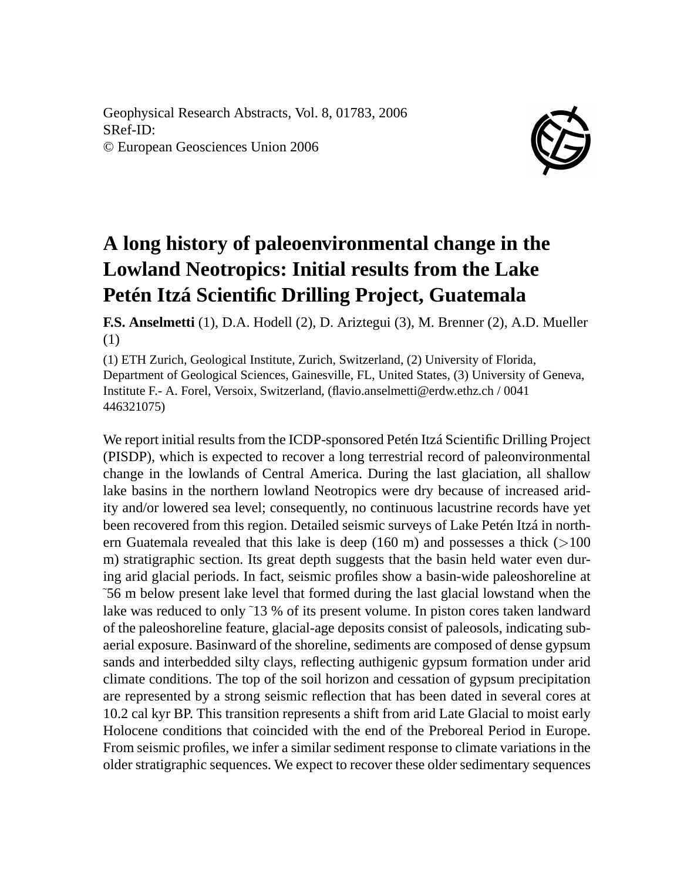Geophysical Research Abstracts, Vol. 8, 01783, 2006 SRef-ID: © European Geosciences Union 2006



## **A long history of paleoenvironmental change in the Lowland Neotropics: Initial results from the Lake Petén Itzá Scientific Drilling Project, Guatemala**

**F.S. Anselmetti** (1), D.A. Hodell (2), D. Ariztegui (3), M. Brenner (2), A.D. Mueller (1)

(1) ETH Zurich, Geological Institute, Zurich, Switzerland, (2) University of Florida, Department of Geological Sciences, Gainesville, FL, United States, (3) University of Geneva, Institute F.- A. Forel, Versoix, Switzerland, (flavio.anselmetti@erdw.ethz.ch / 0041 446321075)

We report initial results from the ICDP-sponsored Petén Itzá Scientific Drilling Project (PISDP), which is expected to recover a long terrestrial record of paleonvironmental change in the lowlands of Central America. During the last glaciation, all shallow lake basins in the northern lowland Neotropics were dry because of increased aridity and/or lowered sea level; consequently, no continuous lacustrine records have yet been recovered from this region. Detailed seismic surveys of Lake Petén Itzá in northern Guatemala revealed that this lake is deep  $(160 \text{ m})$  and possesses a thick ( $>100$ ) m) stratigraphic section. Its great depth suggests that the basin held water even during arid glacial periods. In fact, seismic profiles show a basin-wide paleoshoreline at ˜56 m below present lake level that formed during the last glacial lowstand when the lake was reduced to only ~13 % of its present volume. In piston cores taken landward of the paleoshoreline feature, glacial-age deposits consist of paleosols, indicating subaerial exposure. Basinward of the shoreline, sediments are composed of dense gypsum sands and interbedded silty clays, reflecting authigenic gypsum formation under arid climate conditions. The top of the soil horizon and cessation of gypsum precipitation are represented by a strong seismic reflection that has been dated in several cores at 10.2 cal kyr BP. This transition represents a shift from arid Late Glacial to moist early Holocene conditions that coincided with the end of the Preboreal Period in Europe. From seismic profiles, we infer a similar sediment response to climate variations in the older stratigraphic sequences. We expect to recover these older sedimentary sequences